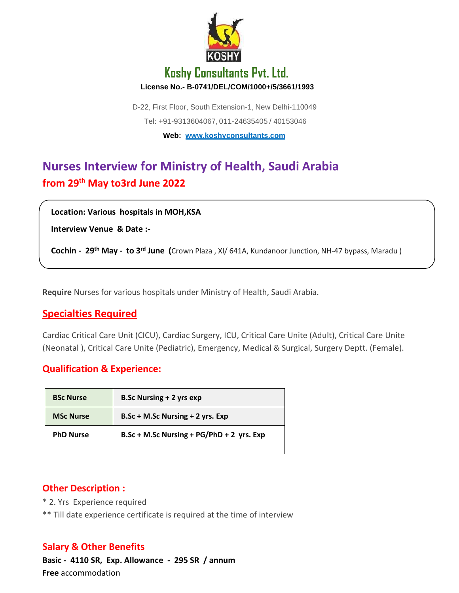

## **Koshy Consultants Pvt. Ltd. License No.- B-0741/DEL/COM/1000+/5/3661/1993**

D-22, First Floor, South Extension-1, New Delhi-110049 Tel: +91-9313604067, 011-24635405 / 40153046 **Web: [www.koshyconsultants.com](http://www.koshyconsultants.com/)**

# **Nurses Interview for Ministry of Health, Saudi Arabia from 29th May to3rd June 2022**

**Location: Various hospitals in MOH,KSA**

**Interview Venue & Date :-**

**Cochin - 29th May - to 3rd June (**Crown Plaza , XI/ 641A, Kundanoor Junction, NH-47 bypass, Maradu )

**Require** Nurses for various hospitals under Ministry of Health, Saudi Arabia.

### **Specialties Required**

Cardiac Critical Care Unit (CICU), Cardiac Surgery, ICU, Critical Care Unite (Adult), Critical Care Unite (Neonatal ), Critical Care Unite (Pediatric), Emergency, Medical & Surgical, Surgery Deptt. (Female).

#### **Qualification & Experience:**

| <b>BSc Nurse</b> | <b>B.Sc Nursing + 2 yrs exp</b>           |
|------------------|-------------------------------------------|
| <b>MSc Nurse</b> | B.Sc + M.Sc Nursing + 2 yrs. Exp          |
| <b>PhD Nurse</b> | B.Sc + M.Sc Nursing + PG/PhD + 2 yrs. Exp |

#### **Other Description :**

- \* 2. Yrs Experience required
- \*\* Till date experience certificate is required at the time of interview

#### **Salary & Other Benefits**

**Basic - 4110 SR, Exp. Allowance - 295 SR / annum Free** accommodation